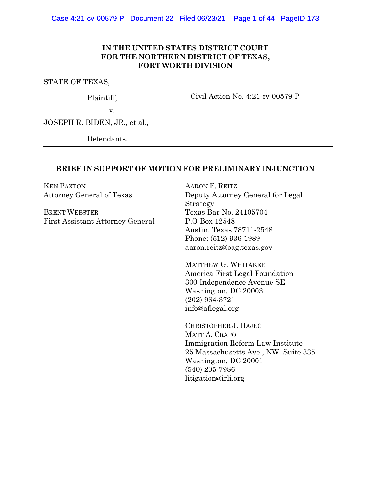### **IN THE UNITED STATES DISTRICT COURT FOR THE NORTHERN DISTRICT OF TEXAS, FORT WORTH DIVISION**

| STATE OF TEXAS,               |                                  |
|-------------------------------|----------------------------------|
| Plaintiff,                    | Civil Action No. 4:21-cv-00579-P |
| v.                            |                                  |
| JOSEPH R. BIDEN, JR., et al., |                                  |
| Defendants.                   |                                  |

### **BRIEF IN SUPPORT OF MOTION FOR PRELIMINARY INJUNCTION**

KEN PAXTON Attorney General of Texas

BRENT WEBSTER First Assistant Attorney General AARON F. REITZ Deputy Attorney General for Legal Strategy Texas Bar No. 24105704 P.O Box 12548 Austin, Texas 78711-2548 Phone: (512) 936-1989 aaron.reitz@oag.texas.gov

MATTHEW G. WHITAKER America First Legal Foundation 300 Independence Avenue SE Washington, DC 20003 (202) 964-3721 info@aflegal.org

CHRISTOPHER J. HAJEC MATT A. CRAPO Immigration Reform Law Institute 25 Massachusetts Ave., NW, Suite 335 Washington, DC 20001 (540) 205-7986 litigation@irli.org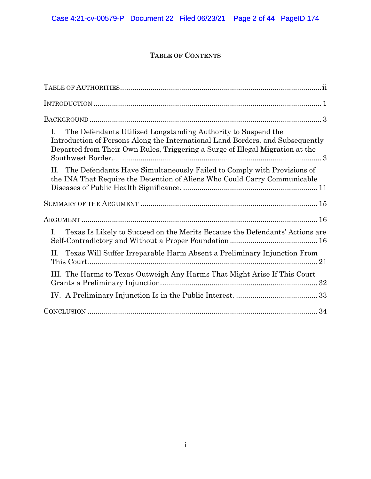# **TABLE OF CONTENTS**

| The Defendants Utilized Longstanding Authority to Suspend the<br>L.<br>Introduction of Persons Along the International Land Borders, and Subsequently<br>Departed from Their Own Rules, Triggering a Surge of Illegal Migration at the |
|----------------------------------------------------------------------------------------------------------------------------------------------------------------------------------------------------------------------------------------|
| II. The Defendants Have Simultaneously Failed to Comply with Provisions of<br>the INA That Require the Detention of Aliens Who Could Carry Communicable                                                                                |
|                                                                                                                                                                                                                                        |
|                                                                                                                                                                                                                                        |
| Texas Is Likely to Succeed on the Merits Because the Defendants' Actions are<br>Ι.                                                                                                                                                     |
| II. Texas Will Suffer Irreparable Harm Absent a Preliminary Injunction From                                                                                                                                                            |
| III. The Harms to Texas Outweigh Any Harms That Might Arise If This Court                                                                                                                                                              |
|                                                                                                                                                                                                                                        |
|                                                                                                                                                                                                                                        |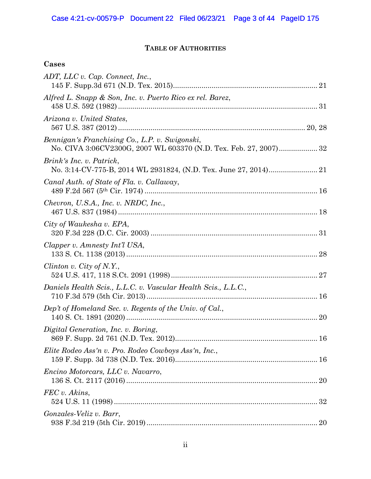# **TABLE OF AUTHORITIES**

# <span id="page-2-0"></span>**Cases**

| ADT, LLC v. Cap. Connect, Inc.,                                                                                     |  |
|---------------------------------------------------------------------------------------------------------------------|--|
| Alfred L. Snapp & Son, Inc. v. Puerto Rico ex rel. Barez,                                                           |  |
| Arizona v. United States,                                                                                           |  |
| Bennigan's Franchising Co., L.P. v. Swigonski,<br>No. CIVA 3:06CV2300G, 2007 WL 603370 (N.D. Tex. Feb. 27, 2007) 32 |  |
| Brink's Inc. v. Patrick,                                                                                            |  |
| Canal Auth. of State of Fla. v. Callaway,                                                                           |  |
| Chevron, U.S.A., Inc. v. NRDC, Inc.,                                                                                |  |
| City of Waukesha v. EPA,                                                                                            |  |
| Clapper v. Amnesty Int'l USA,                                                                                       |  |
| Clinton v. City of N.Y.,                                                                                            |  |
| Daniels Health Scis., L.L.C. v. Vascular Health Scis., L.L.C.,                                                      |  |
| Dep't of Homeland Sec. v. Regents of the Univ. of Cal.,                                                             |  |
| Digital Generation, Inc. v. Boring,                                                                                 |  |
| Elite Rodeo Ass'n v. Pro. Rodeo Cowboys Ass'n, Inc.,                                                                |  |
| Encino Motorcars, LLC v. Navarro,                                                                                   |  |
| FEC v. Akins,                                                                                                       |  |
| Gonzales-Veliz v. Barr,                                                                                             |  |
|                                                                                                                     |  |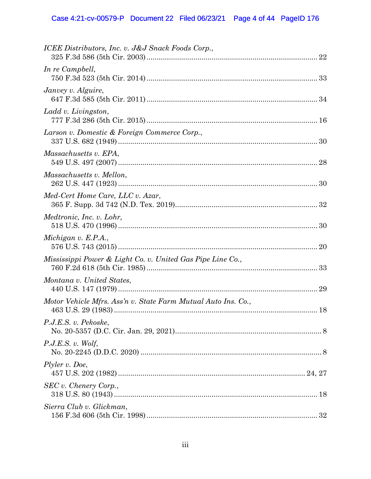# Case 4:21-cv-00579-P Document 22 Filed 06/23/21 Page 4 of 44 PageID 176

| ICEE Distributors, Inc. v. J&J Snack Foods Corp.,             |  |
|---------------------------------------------------------------|--|
| In re Campbell,                                               |  |
| Janvey v. Alguire,                                            |  |
| Ladd v. Livingston,                                           |  |
| Larson v. Domestic & Foreign Commerce Corp.,                  |  |
| Massachusetts v. EPA,                                         |  |
| Massachusetts v. Mellon,                                      |  |
| Med-Cert Home Care, LLC v. Azar,                              |  |
| Medtronic, Inc. v. Lohr,                                      |  |
| Michigan $v$ . E.P.A.,                                        |  |
| Mississippi Power & Light Co. v. United Gas Pipe Line Co.,    |  |
| Montana v. United States,                                     |  |
| Motor Vehicle Mfrs. Ass'n v. State Farm Mutual Auto Ins. Co., |  |
| P.J.E.S. v. Pekoske,                                          |  |
| P.J.E.S. v. Wolf,                                             |  |
| Plyler v. Doe,                                                |  |
| SEC v. Chenery Corp.,                                         |  |
| Sierra Club v. Glickman,                                      |  |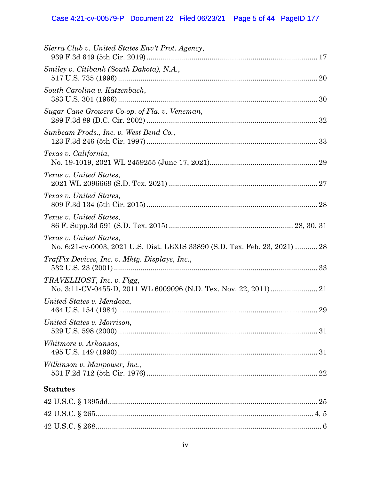### Case 4:21-cv-00579-P Document 22 Filed 06/23/21 Page 5 of 44 PageID 177

| Sierra Club v. United States Env't Prot. Agency,                                                       |
|--------------------------------------------------------------------------------------------------------|
| Smiley v. Citibank (South Dakota), N.A.,                                                               |
| South Carolina v. Katzenbach,                                                                          |
| Sugar Cane Growers Co-op. of Fla. v. Veneman,                                                          |
| Sunbeam Prods., Inc. v. West Bend Co.,                                                                 |
| Texas v. California,                                                                                   |
| Texas v. United States,                                                                                |
| Texas v. United States,                                                                                |
| Texas v. United States,                                                                                |
| Texas v. United States,<br>No. 6:21-cv-0003, 2021 U.S. Dist. LEXIS 33890 (S.D. Tex. Feb. 23, 2021)  28 |
| TrafFix Devices, Inc. v. Mktg. Displays, Inc.,                                                         |
| TRAVELHOST, Inc. v. Figg,                                                                              |
| United States v. Mendoza,                                                                              |
| United States v. Morrison,                                                                             |
| Whitmore v. Arkansas,                                                                                  |
| Wilkinson v. Manpower, Inc.,                                                                           |
| <b>Statutes</b>                                                                                        |
|                                                                                                        |
|                                                                                                        |

42 U.S.C. § 268............................................................................................................... 6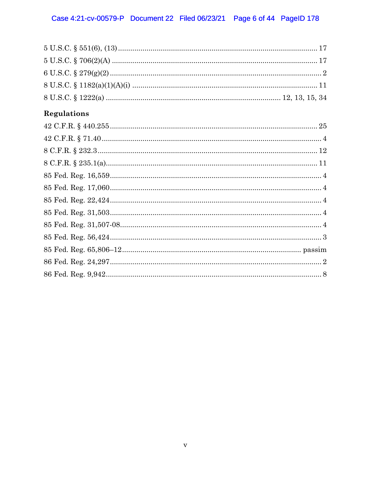| Regulations |
|-------------|
|             |
|             |
|             |
|             |
|             |
|             |
|             |
|             |
|             |
|             |
|             |
|             |
|             |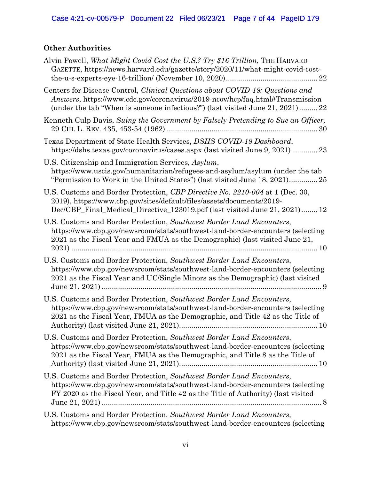# **Other Authorities**

| Alvin Powell, What Might Covid Cost the U.S.? Try \$16 Trillion, THE HARVARD<br>GAZETTE, https://news.harvard.edu/gazette/story/2020/11/what-might-covid-cost-<br>22                                                                           |
|------------------------------------------------------------------------------------------------------------------------------------------------------------------------------------------------------------------------------------------------|
| Centers for Disease Control, Clinical Questions about COVID-19: Questions and<br>Answers, https://www.cdc.gov/coronavirus/2019-ncov/hcp/faq.html#Transmission<br>(under the tab "When is someone infectious?") (last visited June 21, 2021) 22 |
| Kenneth Culp Davis, Suing the Government by Falsely Pretending to Sue an Officer,                                                                                                                                                              |
| Texas Department of State Health Services, DSHS COVID-19 Dashboard,<br>https://dshs.texas.gov/coronavirus/cases.aspx (last visited June 9, 2021) 23                                                                                            |
| U.S. Citizenship and Immigration Services, Asylum,<br>https://www.uscis.gov/humanitarian/refugees-and-asylum/asylum (under the tab<br>"Permission to Work in the United States" (last visited June 18, 2021) 25                                |
| U.S. Customs and Border Protection, CBP Directive No. 2210-004 at 1 (Dec. 30,<br>2019), https://www.cbp.gov/sites/default/files/assets/documents/2019-<br>Dec/CBP_Final_Medical_Directive_123019.pdf (last visited June 21, 2021) 12           |
| U.S. Customs and Border Protection, Southwest Border Land Encounters,<br>https://www.cbp.gov/newsroom/stats/southwest-land-border-encounters (selecting<br>2021 as the Fiscal Year and FMUA as the Demographic) (last visited June 21,         |
| U.S. Customs and Border Protection, Southwest Border Land Encounters,<br>https://www.cbp.gov/newsroom/stats/southwest-land-border-encounters (selecting<br>2021 as the Fiscal Year and UC/Single Minors as the Demographic) (last visited<br>9 |
| U.S. Customs and Border Protection, Southwest Border Land Encounters,<br>https://www.cbp.gov/newsroom/stats/southwest-land-border-encounters (selecting<br>2021 as the Fiscal Year, FMUA as the Demographic, and Title 42 as the Title of      |
| U.S. Customs and Border Protection, Southwest Border Land Encounters,<br>https://www.cbp.gov/newsroom/stats/southwest-land-border-encounters (selecting<br>2021 as the Fiscal Year, FMUA as the Demographic, and Title 8 as the Title of       |
| U.S. Customs and Border Protection, Southwest Border Land Encounters,<br>https://www.cbp.gov/newsroom/stats/southwest-land-border-encounters (selecting<br>FY 2020 as the Fiscal Year, and Title 42 as the Title of Authority) (last visited   |
| U.S. Customs and Border Protection, Southwest Border Land Encounters,<br>https://www.cbp.gov/newsroom/stats/southwest-land-border-encounters (selecting                                                                                        |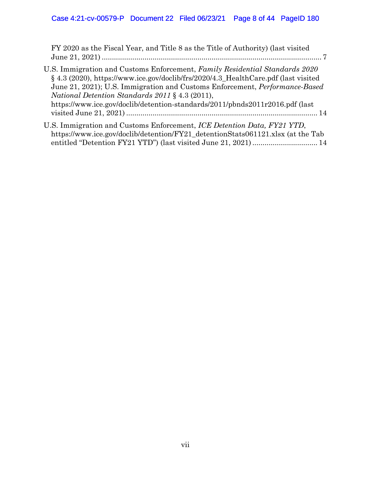FY 2020 as the Fiscal Year, and Title 8 as the Title of Authority) (last visited June 21, 2021) ............................................................................................................ 7

| U.S. Immigration and Customs Enforcement, Family Residential Standards 2020        |
|------------------------------------------------------------------------------------|
| § 4.3 (2020), https://www.ice.gov/doclib/frs/2020/4.3_HealthCare.pdf (last visited |
| June 21, 2021); U.S. Immigration and Customs Enforcement, <i>Performance-Based</i> |
| <i>National Detention Standards 2011</i> § 4.3 (2011),                             |
| https://www.ice.gov/doclib/detention-standards/2011/pbnds2011r2016.pdf (last       |
|                                                                                    |
|                                                                                    |

U.S. Immigration and Customs Enforcement, *ICE Detention Data, FY21 YTD*, https://www.ice.gov/doclib/detention/FY21\_detentionStats061121.xlsx (at the Tab entitled "Detention FY21 YTD") (last visited June 21, 2021)................................ 14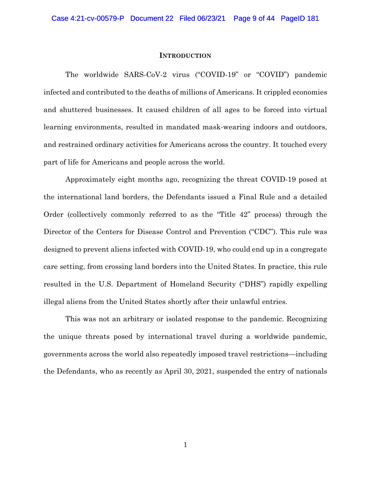#### **INTRODUCTION**

<span id="page-8-0"></span>The worldwide SARS-CoV-2 virus ("COVID-19" or "COVID") pandemic infected and contributed to the deaths of millions of Americans. It crippled economies and shuttered businesses. It caused children of all ages to be forced into virtual learning environments, resulted in mandated mask-wearing indoors and outdoors, and restrained ordinary activities for Americans across the country. It touched every part of life for Americans and people across the world.

Approximately eight months ago, recognizing the threat COVID-19 posed at the international land borders, the Defendants issued a Final Rule and a detailed Order (collectively commonly referred to as the "Title 42" process) through the Director of the Centers for Disease Control and Prevention ("CDC"). This rule was designed to prevent aliens infected with COVID-19, who could end up in a congregate care setting, from crossing land borders into the United States. In practice, this rule resulted in the U.S. Department of Homeland Security ("DHS") rapidly expelling illegal aliens from the United States shortly after their unlawful entries.

This was not an arbitrary or isolated response to the pandemic. Recognizing the unique threats posed by international travel during a worldwide pandemic, governments across the world also repeatedly imposed travel restrictions—including the Defendants, who as recently as April 30, 2021, suspended the entry of nationals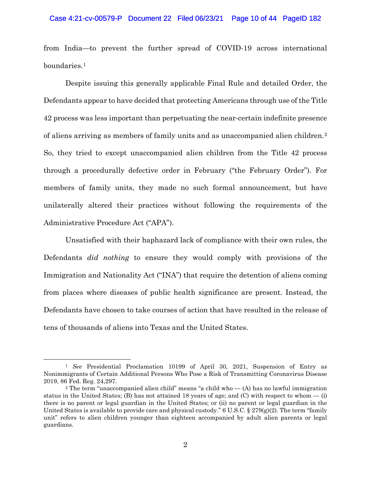from India—to prevent the further spread of COVID-19 across international boundaries.[1](#page-9-0)

Despite issuing this generally applicable Final Rule and detailed Order, the Defendants appear to have decided that protecting Americans through use of the Title 42 process was less important than perpetuating the near-certain indefinite presence of aliens arriving as members of family units and as unaccompanied alien children.[2](#page-9-1) So, they tried to except unaccompanied alien children from the Title 42 process through a procedurally defective order in February ("the February Order"). For members of family units, they made no such formal announcement, but have unilaterally altered their practices without following the requirements of the Administrative Procedure Act ("APA").

Unsatisfied with their haphazard lack of compliance with their own rules, the Defendants *did nothing* to ensure they would comply with provisions of the Immigration and Nationality Act ("INA") that require the detention of aliens coming from places where diseases of public health significance are present. Instead, the Defendants have chosen to take courses of action that have resulted in the release of tens of thousands of aliens into Texas and the United States.

<span id="page-9-0"></span><sup>1</sup> *See* Presidential Proclamation 10199 of April 30, 2021, Suspension of Entry as Nonimmigrants of Certain Additional Persons Who Pose a Risk of Transmitting Coronavirus Disease 2019, 86 Fed. Reg. 24,297.

<span id="page-9-1"></span><sup>&</sup>lt;sup>2</sup> The term "unaccompanied alien child" means "a child who  $-$  (A) has no lawful immigration status in the United States; (B) has not attained 18 years of age; and (C) with respect to whom  $-$  (i) there is no parent or legal guardian in the United States; or (ii) no parent or legal guardian in the United States is available to provide care and physical custody."  $6 \text{ U.S.C.} \$   $279(g)(2)$ . The term "family" unit" refers to alien children younger than eighteen accompanied by adult alien parents or legal guardians.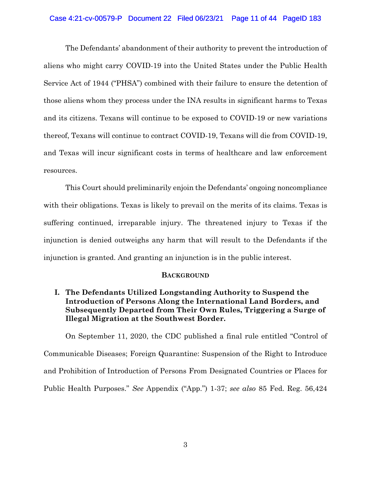### Case 4:21-cv-00579-P Document 22 Filed 06/23/21 Page 11 of 44 PageID 183

The Defendants' abandonment of their authority to prevent the introduction of aliens who might carry COVID-19 into the United States under the Public Health Service Act of 1944 ("PHSA") combined with their failure to ensure the detention of those aliens whom they process under the INA results in significant harms to Texas and its citizens. Texans will continue to be exposed to COVID-19 or new variations thereof, Texans will continue to contract COVID-19, Texans will die from COVID-19, and Texas will incur significant costs in terms of healthcare and law enforcement resources.

This Court should preliminarily enjoin the Defendants' ongoing noncompliance with their obligations. Texas is likely to prevail on the merits of its claims. Texas is suffering continued, irreparable injury. The threatened injury to Texas if the injunction is denied outweighs any harm that will result to the Defendants if the injunction is granted. And granting an injunction is in the public interest.

### **BACKGROUND**

<span id="page-10-1"></span><span id="page-10-0"></span>**I. The Defendants Utilized Longstanding Authority to Suspend the Introduction of Persons Along the International Land Borders, and Subsequently Departed from Their Own Rules, Triggering a Surge of Illegal Migration at the Southwest Border.**

On September 11, 2020, the CDC published a final rule entitled "Control of Communicable Diseases; Foreign Quarantine: Suspension of the Right to Introduce and Prohibition of Introduction of Persons From Designated Countries or Places for Public Health Purposes." *See* Appendix ("App.") 1-37; *see also* 85 Fed. Reg. 56,424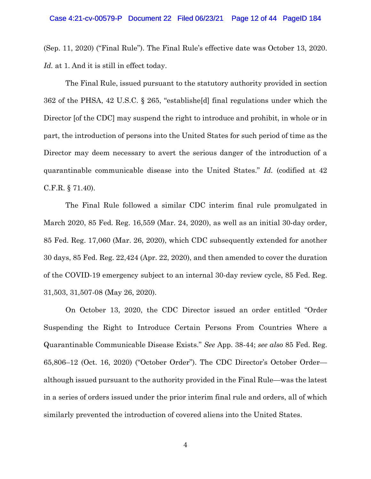(Sep. 11, 2020) ("Final Rule"). The Final Rule's effective date was October 13, 2020. *Id.* at 1. And it is still in effect today.

The Final Rule, issued pursuant to the statutory authority provided in section 362 of the PHSA, 42 U.S.C. § 265, "establishe[d] final regulations under which the Director [of the CDC] may suspend the right to introduce and prohibit, in whole or in part, the introduction of persons into the United States for such period of time as the Director may deem necessary to avert the serious danger of the introduction of a quarantinable communicable disease into the United States." *Id.* (codified at 42 C.F.R. § 71.40).

The Final Rule followed a similar CDC interim final rule promulgated in March 2020, 85 Fed. Reg. 16,559 (Mar. 24, 2020), as well as an initial 30-day order, 85 Fed. Reg. 17,060 (Mar. 26, 2020), which CDC subsequently extended for another 30 days, 85 Fed. Reg. 22,424 (Apr. 22, 2020), and then amended to cover the duration of the COVID-19 emergency subject to an internal 30-day review cycle, 85 Fed. Reg. 31,503, 31,507-08 (May 26, 2020).

On October 13, 2020, the CDC Director issued an order entitled "Order Suspending the Right to Introduce Certain Persons From Countries Where a Quarantinable Communicable Disease Exists." *See* App. 38-44; *see also* 85 Fed. Reg. 65,806–12 (Oct. 16, 2020) ("October Order"). The CDC Director's October Order although issued pursuant to the authority provided in the Final Rule—was the latest in a series of orders issued under the prior interim final rule and orders, all of which similarly prevented the introduction of covered aliens into the United States.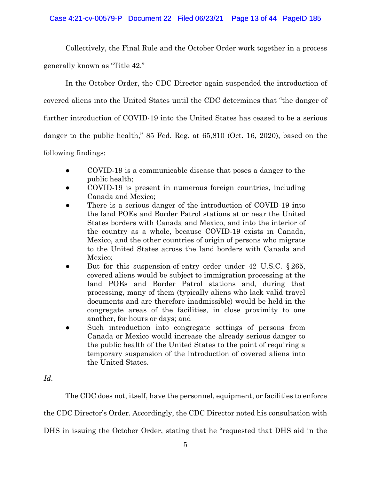Collectively, the Final Rule and the October Order work together in a process generally known as "Title 42."

In the October Order, the CDC Director again suspended the introduction of covered aliens into the United States until the CDC determines that "the danger of further introduction of COVID-19 into the United States has ceased to be a serious danger to the public health," 85 Fed. Reg. at 65,810 (Oct. 16, 2020), based on the following findings:

- COVID-19 is a communicable disease that poses a danger to the public health;
- COVID-19 is present in numerous foreign countries, including Canada and Mexico;
- There is a serious danger of the introduction of COVID-19 into the land POEs and Border Patrol stations at or near the United States borders with Canada and Mexico, and into the interior of the country as a whole, because COVID-19 exists in Canada, Mexico, and the other countries of origin of persons who migrate to the United States across the land borders with Canada and Mexico;
- But for this suspension-of-entry order under 42 U.S.C.  $\S 265$ , covered aliens would be subject to immigration processing at the land POEs and Border Patrol stations and, during that processing, many of them (typically aliens who lack valid travel documents and are therefore inadmissible) would be held in the congregate areas of the facilities, in close proximity to one another, for hours or days; and
- Such introduction into congregate settings of persons from Canada or Mexico would increase the already serious danger to the public health of the United States to the point of requiring a temporary suspension of the introduction of covered aliens into the United States.

*Id.* 

The CDC does not, itself, have the personnel, equipment, or facilities to enforce

the CDC Director's Order. Accordingly, the CDC Director noted his consultation with

DHS in issuing the October Order, stating that he "requested that DHS aid in the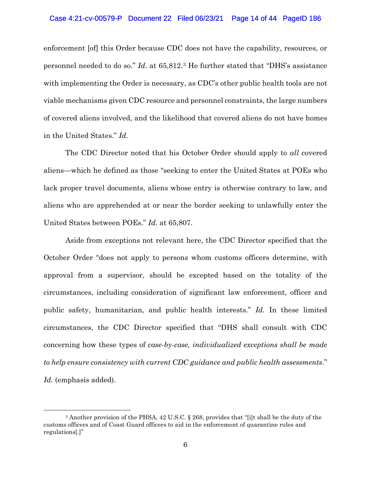enforcement [of] this Order because CDC does not have the capability, resources, or personnel needed to do so." *Id.* at 65,812[.3](#page-13-0) He further stated that "DHS's assistance with implementing the Order is necessary, as CDC's other public health tools are not viable mechanisms given CDC resource and personnel constraints, the large numbers of covered aliens involved, and the likelihood that covered aliens do not have homes in the United States." *Id.* 

The CDC Director noted that his October Order should apply to *all* covered aliens—which he defined as those "seeking to enter the United States at POEs who lack proper travel documents, aliens whose entry is otherwise contrary to law, and aliens who are apprehended at or near the border seeking to unlawfully enter the United States between POEs." *Id.* at 65,807.

Aside from exceptions not relevant here, the CDC Director specified that the October Order "does not apply to persons whom customs officers determine, with approval from a supervisor, should be excepted based on the totality of the circumstances, including consideration of significant law enforcement, officer and public safety, humanitarian, and public health interests." *Id.* In these limited circumstances, the CDC Director specified that "DHS shall consult with CDC concerning how these types of *case-by-case, individualized exceptions shall be made to help ensure consistency with current CDC guidance and public health assessments*." Id. (emphasis added).

<span id="page-13-0"></span><sup>3</sup> Another provision of the PHSA, 42 U.S.C. § 268, provides that "[i]t shall be the duty of the customs officers and of Coast Guard officers to aid in the enforcement of quarantine rules and regulations[.]"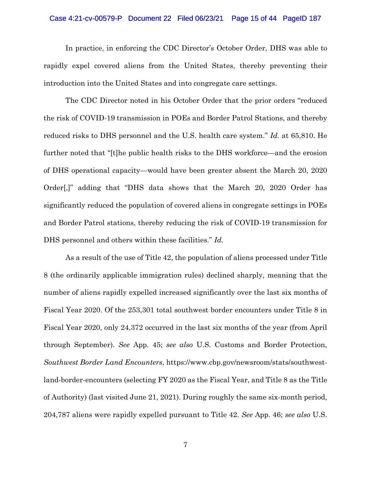### Case 4:21-cv-00579-P Document 22 Filed 06/23/21 Page 15 of 44 PageID 187

In practice, in enforcing the CDC Director's October Order, DHS was able to rapidly expel covered aliens from the United States, thereby preventing their introduction into the United States and into congregate care settings.

The CDC Director noted in his October Order that the prior orders "reduced the risk of COVID-19 transmission in POEs and Border Patrol Stations, and thereby reduced risks to DHS personnel and the U.S. health care system." *Id.* at 65,810. He further noted that "[t]he public health risks to the DHS workforce—and the erosion of DHS operational capacity—would have been greater absent the March 20, 2020 Order[,]" adding that "DHS data shows that the March 20, 2020 Order has significantly reduced the population of covered aliens in congregate settings in POEs and Border Patrol stations, thereby reducing the risk of COVID-19 transmission for DHS personnel and others within these facilities." *Id.* 

As a result of the use of Title 42, the population of aliens processed under Title 8 (the ordinarily applicable immigration rules) declined sharply, meaning that the number of aliens rapidly expelled increased significantly over the last six months of Fiscal Year 2020. Of the 253,301 total southwest border encounters under Title 8 in Fiscal Year 2020, only 24,372 occurred in the last six months of the year (from April through September). *See* App. 45; *see also* U.S. Customs and Border Protection, *Southwest Border Land Encounters*, https://www.cbp.gov/newsroom/stats/southwestland-border-encounters (selecting FY 2020 as the Fiscal Year, and Title 8 as the Title of Authority) (last visited June 21, 2021). During roughly the same six-month period, 204,787 aliens were rapidly expelled pursuant to Title 42. *See* App. 46; *see also* U.S.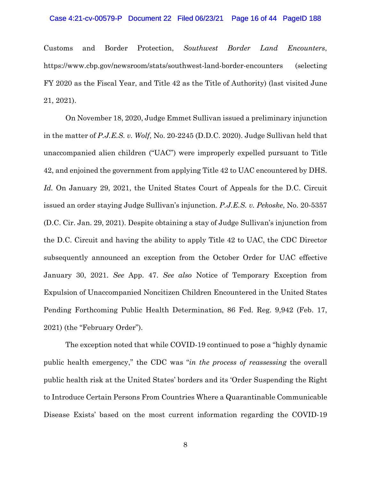### Case 4:21-cv-00579-P Document 22 Filed 06/23/21 Page 16 of 44 PageID 188

Customs and Border Protection, *Southwest Border Land Encounters*, https://www.cbp.gov/newsroom/stats/southwest-land-border-encounters (selecting FY 2020 as the Fiscal Year, and Title 42 as the Title of Authority) (last visited June 21, 2021).

On November 18, 2020, Judge Emmet Sullivan issued a preliminary injunction in the matter of *P.J.E.S. v. Wolf*, No. 20-2245 (D.D.C. 2020). Judge Sullivan held that unaccompanied alien children ("UAC") were improperly expelled pursuant to Title 42, and enjoined the government from applying Title 42 to UAC encountered by DHS. *Id.* On January 29, 2021, the United States Court of Appeals for the D.C. Circuit issued an order staying Judge Sullivan's injunction. *P.J.E.S. v. Pekoske*, No. 20-5357 (D.C. Cir. Jan. 29, 2021). Despite obtaining a stay of Judge Sullivan's injunction from the D.C. Circuit and having the ability to apply Title 42 to UAC, the CDC Director subsequently announced an exception from the October Order for UAC effective January 30, 2021. *See* App. 47. *See also* Notice of Temporary Exception from Expulsion of Unaccompanied Noncitizen Children Encountered in the United States Pending Forthcoming Public Health Determination, 86 Fed. Reg. 9,942 (Feb. 17, 2021) (the "February Order").

The exception noted that while COVID-19 continued to pose a "highly dynamic public health emergency," the CDC was "*in the process of reassessing* the overall public health risk at the United States' borders and its 'Order Suspending the Right to Introduce Certain Persons From Countries Where a Quarantinable Communicable Disease Exists' based on the most current information regarding the COVID-19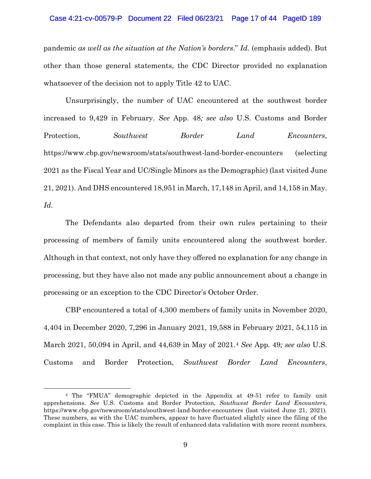### Case 4:21-cv-00579-P Document 22 Filed 06/23/21 Page 17 of 44 PageID 189

pandemic *as well as the situation at the Nation's borders*." *Id.* (emphasis added). But other than those general statements, the CDC Director provided no explanation whatsoever of the decision not to apply Title 42 to UAC.

Unsurprisingly, the number of UAC encountered at the southwest border increased to 9,429 in February. *See* App. 48*; see also* U.S. Customs and Border Protection, *Southwest Border Land Encounters*, https://www.cbp.gov/newsroom/stats/southwest-land-border-encounters (selecting 2021 as the Fiscal Year and UC/Single Minors as the Demographic) (last visited June 21, 2021). And DHS encountered 18,951 in March, 17,148 in April, and 14,158 in May. *Id.* 

The Defendants also departed from their own rules pertaining to their processing of members of family units encountered along the southwest border. Although in that context, not only have they offered no explanation for any change in processing, but they have also not made any public announcement about a change in processing or an exception to the CDC Director's October Order.

CBP encountered a total of 4,300 members of family units in November 2020, 4,404 in December 2020, 7,296 in January 2021, 19,588 in February 2021, 54,115 in March 2021, 50,094 in April, and 44,639 in May of 2021[.4](#page-16-0) *See* App. 49*; see also* U.S. Customs and Border Protection, *Southwest Border Land Encounters*,

<span id="page-16-0"></span><sup>4</sup> The "FMUA" demographic depicted in the Appendix at 49-51 refer to family unit apprehensions. *See* U.S. Customs and Border Protection, *Southwest Border Land Encounters,* https://www.cbp.gov/newsroom/stats/southwest-land-border-encounters (last visited June 21, 2021). These numbers, as with the UAC numbers, appear to have fluctuated slightly since the filing of the complaint in this case. This is likely the result of enhanced data validation with more recent numbers.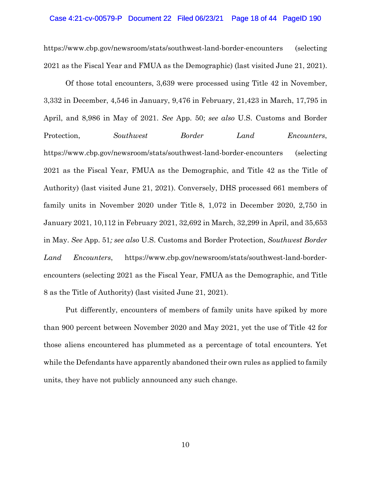### Case 4:21-cv-00579-P Document 22 Filed 06/23/21 Page 18 of 44 PageID 190

https://www.cbp.gov/newsroom/stats/southwest-land-border-encounters (selecting 2021 as the Fiscal Year and FMUA as the Demographic) (last visited June 21, 2021).

Of those total encounters, 3,639 were processed using Title 42 in November, 3,332 in December, 4,546 in January, 9,476 in February, 21,423 in March, 17,795 in April, and 8,986 in May of 2021. *See* App. 50; *see also* U.S. Customs and Border Protection, *Southwest Border Land Encounters*, https://www.cbp.gov/newsroom/stats/southwest-land-border-encounters (selecting 2021 as the Fiscal Year, FMUA as the Demographic, and Title 42 as the Title of Authority) (last visited June 21, 2021). Conversely, DHS processed 661 members of family units in November 2020 under Title 8, 1,072 in December 2020, 2,750 in January 2021, 10,112 in February 2021, 32,692 in March, 32,299 in April, and 35,653 in May. *See* App. 51*; see also* U.S. Customs and Border Protection, *Southwest Border Land Encounters*, https://www.cbp.gov/newsroom/stats/southwest-land-borderencounters (selecting 2021 as the Fiscal Year, FMUA as the Demographic, and Title 8 as the Title of Authority) (last visited June 21, 2021).

Put differently, encounters of members of family units have spiked by more than 900 percent between November 2020 and May 2021, yet the use of Title 42 for those aliens encountered has plummeted as a percentage of total encounters. Yet while the Defendants have apparently abandoned their own rules as applied to family units, they have not publicly announced any such change.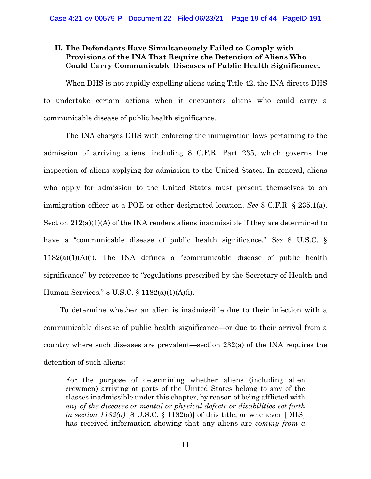### <span id="page-18-0"></span>**II. The Defendants Have Simultaneously Failed to Comply with Provisions of the INA That Require the Detention of Aliens Who Could Carry Communicable Diseases of Public Health Significance.**

When DHS is not rapidly expelling aliens using Title 42, the INA directs DHS to undertake certain actions when it encounters aliens who could carry a communicable disease of public health significance.

The INA charges DHS with enforcing the immigration laws pertaining to the admission of arriving aliens, including 8 C.F.R. Part 235, which governs the inspection of aliens applying for admission to the United States. In general, aliens who apply for admission to the United States must present themselves to an immigration officer at a POE or other designated location. *See* 8 C.F.R. § 235.1(a). Section 212(a)(1)(A) of the INA renders aliens inadmissible if they are determined to have a "communicable disease of public health significance." *See* 8 U.S.C. § 1182(a)(1)(A)(i). The INA defines a "communicable disease of public health significance" by reference to "regulations prescribed by the Secretary of Health and Human Services." 8 U.S.C. § 1182(a)(1)(A)(i).

To determine whether an alien is inadmissible due to their infection with a communicable disease of public health significance—or due to their arrival from a country where such diseases are prevalent—section 232(a) of the INA requires the detention of such aliens:

For the purpose of determining whether aliens (including alien crewmen) arriving at ports of the United States belong to any of the classes inadmissible under this chapter, by reason of being afflicted with *any of the diseases or mental or physical defects or disabilities set forth in section 1182(a)* [8 U.S.C. § 1182(a)] of this title, or whenever [DHS] has received information showing that any aliens are *coming from a*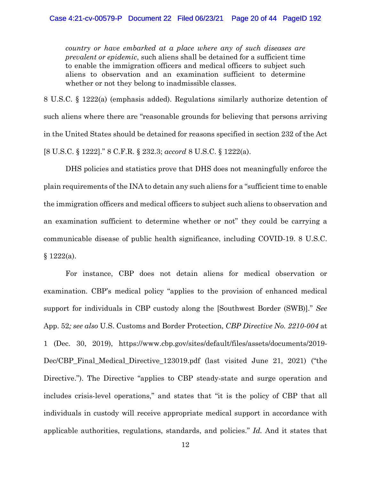*country or have embarked at a place where any of such diseases are prevalent or epidemic*, such aliens shall be detained for a sufficient time to enable the immigration officers and medical officers to subject such aliens to observation and an examination sufficient to determine whether or not they belong to inadmissible classes.

8 U.S.C. § 1222(a) (emphasis added). Regulations similarly authorize detention of such aliens where there are "reasonable grounds for believing that persons arriving in the United States should be detained for reasons specified in section 232 of the Act [8 U.S.C. § 1222]." 8 C.F.R. § 232.3; *accord* 8 U.S.C. § 1222(a).

DHS policies and statistics prove that DHS does not meaningfully enforce the plain requirements of the INA to detain any such aliens for a "sufficient time to enable the immigration officers and medical officers to subject such aliens to observation and an examination sufficient to determine whether or not" they could be carrying a communicable disease of public health significance, including COVID-19. 8 U.S.C.  $§ 1222(a).$ 

For instance, CBP does not detain aliens for medical observation or examination. CBP's medical policy "applies to the provision of enhanced medical support for individuals in CBP custody along the [Southwest Border (SWB)]." *See*  App. 52*; see also* U.S. Customs and Border Protection, *CBP Directive No. 2210-004* at 1 (Dec. 30, 2019), https://www.cbp.gov/sites/default/files/assets/documents/2019- Dec/CBP\_Final\_Medical\_Directive\_123019.pdf (last visited June 21, 2021) ("the Directive."). The Directive "applies to CBP steady-state and surge operation and includes crisis-level operations," and states that "it is the policy of CBP that all individuals in custody will receive appropriate medical support in accordance with applicable authorities, regulations, standards, and policies." *Id.* And it states that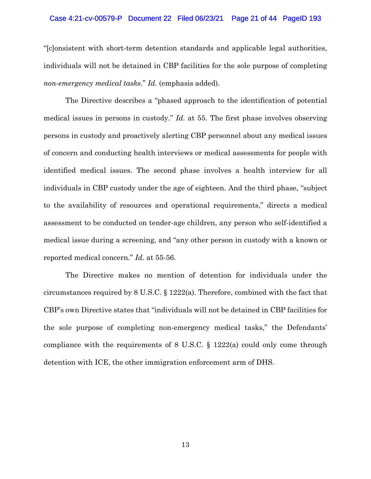### Case 4:21-cv-00579-P Document 22 Filed 06/23/21 Page 21 of 44 PageID 193

"[c]onsistent with short-term detention standards and applicable legal authorities, individuals will not be detained in CBP facilities for the sole purpose of completing *non-emergency medical tasks*." *Id.* (emphasis added).

The Directive describes a "phased approach to the identification of potential medical issues in persons in custody." *Id.* at 55. The first phase involves observing persons in custody and proactively alerting CBP personnel about any medical issues of concern and conducting health interviews or medical assessments for people with identified medical issues. The second phase involves a health interview for all individuals in CBP custody under the age of eighteen. And the third phase, "subject to the availability of resources and operational requirements," directs a medical assessment to be conducted on tender-age children, any person who self-identified a medical issue during a screening, and "any other person in custody with a known or reported medical concern." *Id.* at 55-56.

The Directive makes no mention of detention for individuals under the circumstances required by 8 U.S.C. § 1222(a). Therefore, combined with the fact that CBP's own Directive states that "individuals will not be detained in CBP facilities for the sole purpose of completing non-emergency medical tasks," the Defendants' compliance with the requirements of 8 U.S.C. § 1222(a) could only come through detention with ICE, the other immigration enforcement arm of DHS.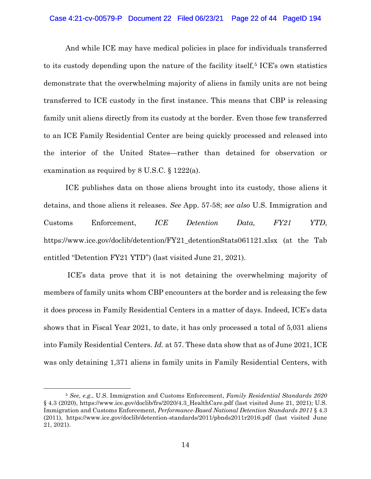### Case 4:21-cv-00579-P Document 22 Filed 06/23/21 Page 22 of 44 PageID 194

And while ICE may have medical policies in place for individuals transferred to its custody depending upon the nature of the facility itself,<sup> $5$ </sup> ICE's own statistics demonstrate that the overwhelming majority of aliens in family units are not being transferred to ICE custody in the first instance. This means that CBP is releasing family unit aliens directly from its custody at the border. Even those few transferred to an ICE Family Residential Center are being quickly processed and released into the interior of the United States—rather than detained for observation or examination as required by 8 U.S.C. § 1222(a).

ICE publishes data on those aliens brought into its custody, those aliens it detains, and those aliens it releases. *See* App. 57-58; *see also* U.S. Immigration and Customs Enforcement, *ICE Detention Data, FY21 YTD*, https://www.ice.gov/doclib/detention/FY21\_detentionStats061121.xlsx (at the Tab entitled "Detention FY21 YTD") (last visited June 21, 2021).

ICE's data prove that it is not detaining the overwhelming majority of members of family units whom CBP encounters at the border and is releasing the few it does process in Family Residential Centers in a matter of days. Indeed, ICE's data shows that in Fiscal Year 2021, to date, it has only processed a total of 5,031 aliens into Family Residential Centers. *Id.* at 57. These data show that as of June 2021, ICE was only detaining 1,371 aliens in family units in Family Residential Centers, with

<span id="page-21-0"></span><sup>5</sup> *See, e.g.*, U.S. Immigration and Customs Enforcement, *Family Residential Standards 2020* § 4.3 (2020), https://www.ice.gov/doclib/frs/2020/4.3 HealthCare.pdf (last visited June 21, 2021); U.S. Immigration and Customs Enforcement, *Performance-Based National Detention Standards 2011* § 4.3 (2011), https://www.ice.gov/doclib/detention-standards/2011/pbnds2011r2016.pdf (last visited June 21, 2021).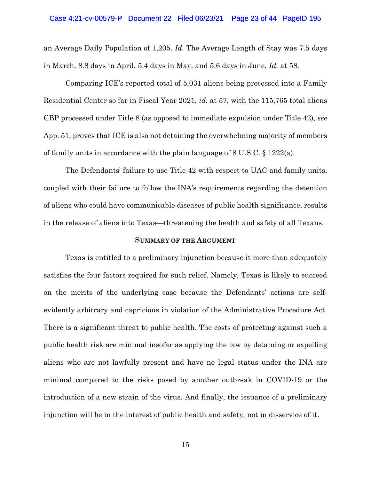#### Case 4:21-cv-00579-P Document 22 Filed 06/23/21 Page 23 of 44 PageID 195

an Average Daily Population of 1,205. *Id.* The Average Length of Stay was 7.5 days in March, 8.8 days in April, 5.4 days in May, and 5.6 days in June. *Id.* at 58.

Comparing ICE's reported total of 5,031 aliens being processed into a Family Residential Center so far in Fiscal Year 2021, *id.* at 57, with the 115,765 total aliens CBP processed under Title 8 (as opposed to immediate expulsion under Title 42), *see*  App. 51, proves that ICE is also not detaining the overwhelming majority of members of family units in accordance with the plain language of  $8 \text{ U.S.C.} \$   $1222(a)$ .

The Defendants' failure to use Title 42 with respect to UAC and family units, coupled with their failure to follow the INA's requirements regarding the detention of aliens who could have communicable diseases of public health significance, results in the release of aliens into Texas—threatening the health and safety of all Texans.

### **SUMMARY OF THE ARGUMENT**

<span id="page-22-0"></span>Texas is entitled to a preliminary injunction because it more than adequately satisfies the four factors required for such relief. Namely, Texas is likely to succeed on the merits of the underlying case because the Defendants' actions are selfevidently arbitrary and capricious in violation of the Administrative Procedure Act. There is a significant threat to public health. The costs of protecting against such a public health risk are minimal insofar as applying the law by detaining or expelling aliens who are not lawfully present and have no legal status under the INA are minimal compared to the risks posed by another outbreak in COVID-19 or the introduction of a new strain of the virus. And finally, the issuance of a preliminary injunction will be in the interest of public health and safety, not in disservice of it.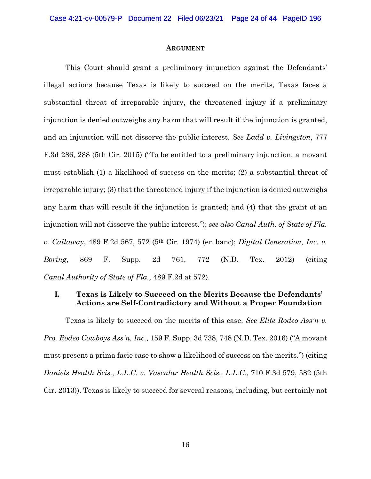#### **ARGUMENT**

<span id="page-23-0"></span>This Court should grant a preliminary injunction against the Defendants' illegal actions because Texas is likely to succeed on the merits, Texas faces a substantial threat of irreparable injury, the threatened injury if a preliminary injunction is denied outweighs any harm that will result if the injunction is granted, and an injunction will not disserve the public interest. *See Ladd v. Livingston*, 777 F.3d 286, 288 (5th Cir. 2015) ("To be entitled to a preliminary injunction, a movant must establish (1) a likelihood of success on the merits; (2) a substantial threat of irreparable injury; (3) that the threatened injury if the injunction is denied outweighs any harm that will result if the injunction is granted; and (4) that the grant of an injunction will not disserve the public interest."); *see also Canal Auth. of State of Fla. v. Callaway*, 489 F.2d 567, 572 (5th Cir. 1974) (en banc); *Digital Generation, Inc. v. Boring*, 869 F. Supp. 2d 761, 772 (N.D. Tex. 2012) (citing *Canal Authority of State of Fla.*, 489 F.2d at 572).

### <span id="page-23-1"></span>**I. Texas is Likely to Succeed on the Merits Because the Defendants' Actions are Self-Contradictory and Without a Proper Foundation**

Texas is likely to succeed on the merits of this case. *See Elite Rodeo Ass'n v. Pro. Rodeo Cowboys Ass'n, Inc.*, 159 F. Supp. 3d 738, 748 (N.D. Tex. 2016) ("A movant must present a prima facie case to show a likelihood of success on the merits.") (citing *Daniels Health Scis., L.L.C. v. Vascular Health Scis., L.L.C.*, 710 F.3d 579, 582 (5th Cir. 2013)). Texas is likely to succeed for several reasons, including, but certainly not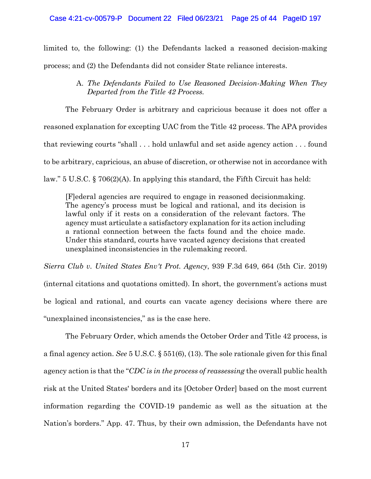limited to, the following: (1) the Defendants lacked a reasoned decision-making process; and (2) the Defendants did not consider State reliance interests.

### A. *The Defendants Failed to Use Reasoned Decision-Making When They Departed from the Title 42 Process.*

The February Order is arbitrary and capricious because it does not offer a reasoned explanation for excepting UAC from the Title 42 process. The APA provides that reviewing courts "shall . . . hold unlawful and set aside agency action . . . found to be arbitrary, capricious, an abuse of discretion, or otherwise not in accordance with law." 5 U.S.C. § 706(2)(A). In applying this standard, the Fifth Circuit has held:

[F]ederal agencies are required to engage in reasoned decisionmaking. The agency's process must be logical and rational, and its decision is lawful only if it rests on a consideration of the relevant factors. The agency must articulate a satisfactory explanation for its action including a rational connection between the facts found and the choice made. Under this standard, courts have vacated agency decisions that created unexplained inconsistencies in the rulemaking record.

*Sierra Club v. United States Env't Prot. Agency*, 939 F.3d 649, 664 (5th Cir. 2019) (internal citations and quotations omitted). In short, the government's actions must be logical and rational, and courts can vacate agency decisions where there are "unexplained inconsistencies," as is the case here.

The February Order, which amends the October Order and Title 42 process, is a final agency action. *See* 5 U.S.C. § 551(6), (13). The sole rationale given for this final agency action is that the "*CDC is in the process of reassessing* the overall public health risk at the United States' borders and its [October Order] based on the most current information regarding the COVID-19 pandemic as well as the situation at the Nation's borders." App. 47. Thus, by their own admission, the Defendants have not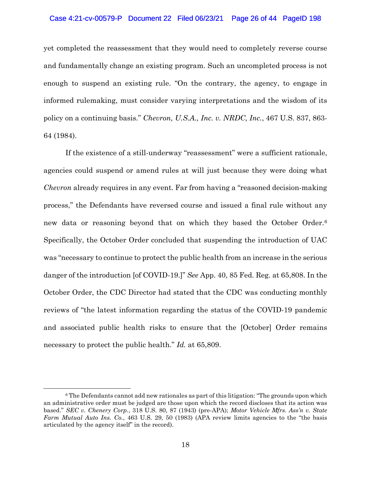### Case 4:21-cv-00579-P Document 22 Filed 06/23/21 Page 26 of 44 PageID 198

yet completed the reassessment that they would need to completely reverse course and fundamentally change an existing program. Such an uncompleted process is not enough to suspend an existing rule. "On the contrary, the agency, to engage in informed rulemaking, must consider varying interpretations and the wisdom of its policy on a continuing basis." *Chevron, U.S.A., Inc. v. NRDC, Inc.*, 467 U.S. 837, 863- 64 (1984).

If the existence of a still-underway "reassessment" were a sufficient rationale, agencies could suspend or amend rules at will just because they were doing what *Chevron* already requires in any event. Far from having a "reasoned decision-making process," the Defendants have reversed course and issued a final rule without any new data or reasoning beyond that on which they based the October Order.[6](#page-25-0) Specifically, the October Order concluded that suspending the introduction of UAC was "necessary to continue to protect the public health from an increase in the serious danger of the introduction [of COVID-19.]" *See* App. 40, 85 Fed. Reg. at 65,808. In the October Order, the CDC Director had stated that the CDC was conducting monthly reviews of "the latest information regarding the status of the COVID-19 pandemic and associated public health risks to ensure that the [October] Order remains necessary to protect the public health." *Id.* at 65,809.

<span id="page-25-0"></span> $6$  The Defendants cannot add new rationales as part of this litigation: "The grounds upon which an administrative order must be judged are those upon which the record discloses that its action was based." *SEC v. Chenery Corp.*, 318 U.S. 80, 87 (1943) (pre-APA); *Motor Vehicle Mfrs. Ass'n v. State Farm Mutual Auto Ins. Co.*, 463 U.S. 29, 50 (1983) (APA review limits agencies to the "the basis articulated by the agency itself" in the record).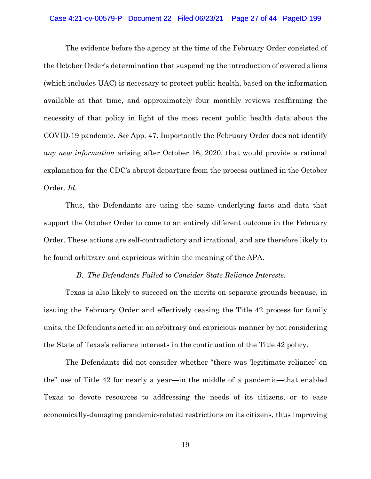### Case 4:21-cv-00579-P Document 22 Filed 06/23/21 Page 27 of 44 PageID 199

The evidence before the agency at the time of the February Order consisted of the October Order's determination that suspending the introduction of covered aliens (which includes UAC) is necessary to protect public health, based on the information available at that time, and approximately four monthly reviews reaffirming the necessity of that policy in light of the most recent public health data about the COVID-19 pandemic. *See* App. 47. Importantly the February Order does not identify *any new information* arising after October 16, 2020, that would provide a rational explanation for the CDC's abrupt departure from the process outlined in the October Order. *Id.*

Thus, the Defendants are using the same underlying facts and data that support the October Order to come to an entirely different outcome in the February Order. These actions are self-contradictory and irrational, and are therefore likely to be found arbitrary and capricious within the meaning of the APA.

### *B. The Defendants Failed to Consider State Reliance Interests.*

Texas is also likely to succeed on the merits on separate grounds because, in issuing the February Order and effectively ceasing the Title 42 process for family units, the Defendants acted in an arbitrary and capricious manner by not considering the State of Texas's reliance interests in the continuation of the Title 42 policy.

The Defendants did not consider whether "there was 'legitimate reliance' on the" use of Title 42 for nearly a year—in the middle of a pandemic—that enabled Texas to devote resources to addressing the needs of its citizens, or to ease economically-damaging pandemic-related restrictions on its citizens, thus improving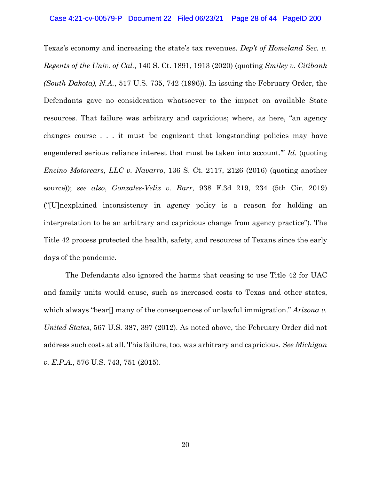Texas's economy and increasing the state's tax revenues. *Dep't of Homeland Sec. v. Regents of the Univ. of Cal.*, 140 S. Ct. 1891, 1913 (2020) (quoting *Smiley v. Citibank (South Dakota), N.A.*, 517 U.S. 735, 742 (1996)). In issuing the February Order, the Defendants gave no consideration whatsoever to the impact on available State resources. That failure was arbitrary and capricious; where, as here, "an agency changes course . . . it must 'be cognizant that longstanding policies may have engendered serious reliance interest that must be taken into account.'" *Id.* (quoting *Encino Motorcars, LLC v. Navarro*, 136 S. Ct. 2117, 2126 (2016) (quoting another source)); *see also*, *Gonzales-Veliz v. Barr*, 938 F.3d 219, 234 (5th Cir. 2019) ("[U]nexplained inconsistency in agency policy is a reason for holding an interpretation to be an arbitrary and capricious change from agency practice"). The Title 42 process protected the health, safety, and resources of Texans since the early days of the pandemic.

The Defendants also ignored the harms that ceasing to use Title 42 for UAC and family units would cause, such as increased costs to Texas and other states, which always "bear[] many of the consequences of unlawful immigration." *Arizona v. United States*, 567 U.S. 387, 397 (2012). As noted above, the February Order did not address such costs at all. This failure, too, was arbitrary and capricious. *See Michigan v. E.P.A.*, 576 U.S. 743, 751 (2015).

20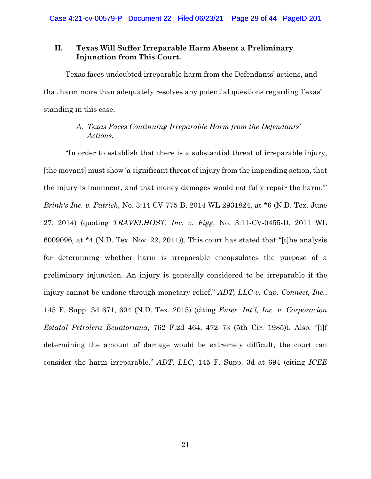### <span id="page-28-0"></span>**II. Texas Will Suffer Irreparable Harm Absent a Preliminary Injunction from This Court.**

Texas faces undoubted irreparable harm from the Defendants' actions, and that harm more than adequately resolves any potential questions regarding Texas' standing in this case.

### *A. Texas Faces Continuing Irreparable Harm from the Defendants' Actions.*

"In order to establish that there is a substantial threat of irreparable injury, [the movant] must show 'a significant threat of injury from the impending action, that the injury is imminent, and that money damages would not fully repair the harm.'" *Brink's Inc. v. Patrick*, No. 3:14-CV-775-B, 2014 WL 2931824, at \*6 (N.D. Tex. June 27, 2014) (quoting *TRAVELHOST, Inc. v. Figg*, No. 3:11-CV-0455-D, 2011 WL 6009096, at \*4 (N.D. Tex. Nov. 22, 2011)). This court has stated that "[t]he analysis for determining whether harm is irreparable encapsulates the purpose of a preliminary injunction. An injury is generally considered to be irreparable if the injury cannot be undone through monetary relief." *ADT, LLC v. Cap. Connect, Inc.*, 145 F. Supp. 3d 671, 694 (N.D. Tex. 2015) (citing *Enter. Int'l, Inc. v. Corporacion Estatal Petrolera Ecuatoriana*, 762 F.2d 464, 472–73 (5th Cir. 1985)). Also, "[i]f determining the amount of damage would be extremely difficult, the court can consider the harm irreparable." *ADT, LLC*, 145 F. Supp. 3d at 694 (citing *ICEE*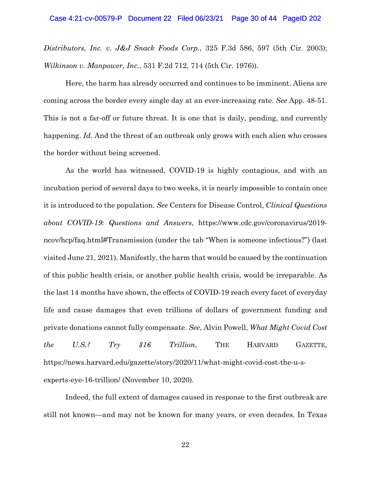*Distributors, Inc. v. J&J Snack Foods Corp.*, 325 F.3d 586, 597 (5th Cir. 2003); *Wilkinson v. Manpower, Inc.*, 531 F.2d 712, 714 (5th Cir. 1976)).

Here, the harm has already occurred and continues to be imminent. Aliens are coming across the border every single day at an ever-increasing rate. *See* App. 48-51. This is not a far-off or future threat. It is one that is daily, pending, and currently happening. *Id.* And the threat of an outbreak only grows with each alien who crosses the border without being screened.

As the world has witnessed, COVID-19 is highly contagious, and with an incubation period of several days to two weeks, it is nearly impossible to contain once it is introduced to the population. *See* Centers for Disease Control, *Clinical Questions about COVID-19: Questions and Answers*, https://www.cdc.gov/coronavirus/2019 ncov/hcp/faq.html#Transmission (under the tab "When is someone infectious?") (last visited June 21, 2021). Manifestly, the harm that would be caused by the continuation of this public health crisis, or another public health crisis, would be irreparable. As the last 14 months have shown, the effects of COVID-19 reach every facet of everyday life and cause damages that even trillions of dollars of government funding and private donations cannot fully compensate. *See*, Alvin Powell, *What Might Covid Cost the U.S.? Try \$16 Trillion*, THE HARVARD GAZETTE, https://news.harvard.edu/gazette/story/2020/11/what-might-covid-cost-the-u-sexperts-eye-16-trillion/ (November 10, 2020).

Indeed, the full extent of damages caused in response to the first outbreak are still not known—and may not be known for many years, or even decades. In Texas

22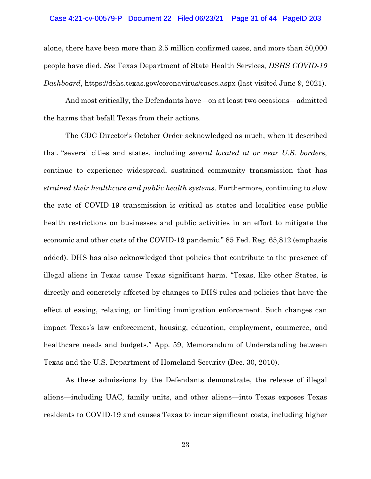### Case 4:21-cv-00579-P Document 22 Filed 06/23/21 Page 31 of 44 PageID 203

alone, there have been more than 2.5 million confirmed cases, and more than 50,000 people have died. *See* Texas Department of State Health Services, *DSHS COVID-19 Dashboard*, https://dshs.texas.gov/coronavirus/cases.aspx (last visited June 9, 2021).

And most critically, the Defendants have—on at least two occasions—admitted the harms that befall Texas from their actions.

The CDC Director's October Order acknowledged as much, when it described that "several cities and states, including *several located at or near U.S. border*s, continue to experience widespread, sustained community transmission that has *strained their healthcare and public health systems*. Furthermore, continuing to slow the rate of COVID-19 transmission is critical as states and localities ease public health restrictions on businesses and public activities in an effort to mitigate the economic and other costs of the COVID-19 pandemic." 85 Fed. Reg. 65,812 (emphasis added). DHS has also acknowledged that policies that contribute to the presence of illegal aliens in Texas cause Texas significant harm. "Texas, like other States, is directly and concretely affected by changes to DHS rules and policies that have the effect of easing, relaxing, or limiting immigration enforcement. Such changes can impact Texas's law enforcement, housing, education, employment, commerce, and healthcare needs and budgets." App. 59, Memorandum of Understanding between Texas and the U.S. Department of Homeland Security (Dec. 30, 2010).

As these admissions by the Defendants demonstrate, the release of illegal aliens—including UAC, family units, and other aliens—into Texas exposes Texas residents to COVID-19 and causes Texas to incur significant costs, including higher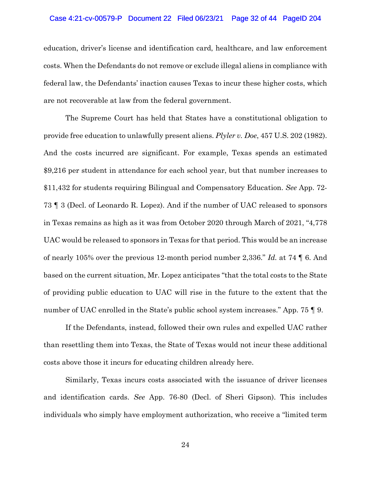### Case 4:21-cv-00579-P Document 22 Filed 06/23/21 Page 32 of 44 PageID 204

education, driver's license and identification card, healthcare, and law enforcement costs. When the Defendants do not remove or exclude illegal aliens in compliance with federal law, the Defendants' inaction causes Texas to incur these higher costs, which are not recoverable at law from the federal government.

The Supreme Court has held that States have a constitutional obligation to provide free education to unlawfully present aliens. *Plyler v. Doe*, 457 U.S. 202 (1982). And the costs incurred are significant. For example, Texas spends an estimated \$9,216 per student in attendance for each school year, but that number increases to \$11,432 for students requiring Bilingual and Compensatory Education. *See* App. 72- 73 ¶ 3 (Decl. of Leonardo R. Lopez). And if the number of UAC released to sponsors in Texas remains as high as it was from October 2020 through March of 2021, "4,778 UAC would be released to sponsors in Texas for that period. This would be an increase of nearly 105% over the previous 12-month period number 2,336." *Id.* at 74 ¶ 6. And based on the current situation, Mr. Lopez anticipates "that the total costs to the State of providing public education to UAC will rise in the future to the extent that the number of UAC enrolled in the State's public school system increases." App. 75 | 9.

If the Defendants, instead, followed their own rules and expelled UAC rather than resettling them into Texas, the State of Texas would not incur these additional costs above those it incurs for educating children already here.

Similarly, Texas incurs costs associated with the issuance of driver licenses and identification cards. *See* App. 76-80 (Decl. of Sheri Gipson). This includes individuals who simply have employment authorization, who receive a "limited term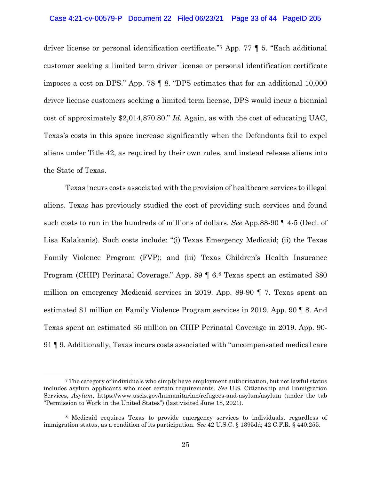### Case 4:21-cv-00579-P Document 22 Filed 06/23/21 Page 33 of 44 PageID 205

driver license or personal identification certificate."[7](#page-32-0) App. 77 ¶ 5. "Each additional customer seeking a limited term driver license or personal identification certificate imposes a cost on DPS." App. 78 ¶ 8. "DPS estimates that for an additional 10,000 driver license customers seeking a limited term license, DPS would incur a biennial cost of approximately \$2,014,870.80." *Id.* Again, as with the cost of educating UAC, Texas's costs in this space increase significantly when the Defendants fail to expel aliens under Title 42, as required by their own rules, and instead release aliens into the State of Texas.

Texas incurs costs associated with the provision of healthcare services to illegal aliens. Texas has previously studied the cost of providing such services and found such costs to run in the hundreds of millions of dollars. *See* App.88-90 ¶ 4-5 (Decl. of Lisa Kalakanis). Such costs include: "(i) Texas Emergency Medicaid; (ii) the Texas Family Violence Program (FVP); and (iii) Texas Children's Health Insurance Program (CHIP) Perinatal Coverage." App. 89 ¶ 6.[8](#page-32-1) Texas spent an estimated \$80 million on emergency Medicaid services in 2019. App. 89-90 ¶ 7. Texas spent an estimated \$1 million on Family Violence Program services in 2019. App. 90 ¶ 8. And Texas spent an estimated \$6 million on CHIP Perinatal Coverage in 2019. App. 90- 91 ¶ 9. Additionally, Texas incurs costs associated with "uncompensated medical care

<span id="page-32-0"></span><sup>7</sup> The category of individuals who simply have employment authorization, but not lawful status includes asylum applicants who meet certain requirements. *See* U.S. Citizenship and Immigration Services, *Asylum*, https://www.uscis.gov/humanitarian/refugees-and-asylum/asylum (under the tab "Permission to Work in the United States") (last visited June 18, 2021).

<span id="page-32-1"></span><sup>8</sup> Medicaid requires Texas to provide emergency services to individuals, regardless of immigration status, as a condition of its participation. *See* 42 U.S.C. § 1395dd; 42 C.F.R. § 440.255.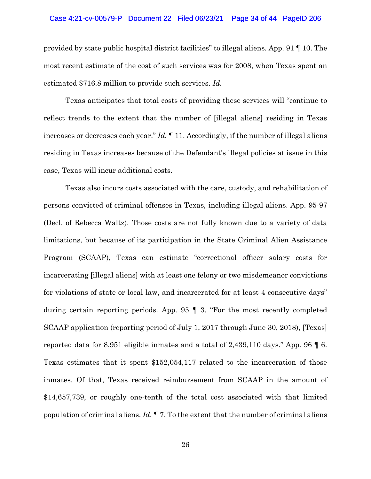### Case 4:21-cv-00579-P Document 22 Filed 06/23/21 Page 34 of 44 PageID 206

provided by state public hospital district facilities" to illegal aliens. App. 91 ¶ 10. The most recent estimate of the cost of such services was for 2008, when Texas spent an estimated \$716.8 million to provide such services. *Id.*

Texas anticipates that total costs of providing these services will "continue to reflect trends to the extent that the number of [illegal aliens] residing in Texas increases or decreases each year." *Id.* ¶ 11. Accordingly, if the number of illegal aliens residing in Texas increases because of the Defendant's illegal policies at issue in this case, Texas will incur additional costs.

Texas also incurs costs associated with the care, custody, and rehabilitation of persons convicted of criminal offenses in Texas, including illegal aliens. App. 95-97 (Decl. of Rebecca Waltz). Those costs are not fully known due to a variety of data limitations, but because of its participation in the State Criminal Alien Assistance Program (SCAAP), Texas can estimate "correctional officer salary costs for incarcerating [illegal aliens] with at least one felony or two misdemeanor convictions for violations of state or local law, and incarcerated for at least 4 consecutive days" during certain reporting periods. App. 95 ¶ 3. "For the most recently completed SCAAP application (reporting period of July 1, 2017 through June 30, 2018), [Texas] reported data for 8,951 eligible inmates and a total of 2,439,110 days." App. 96 ¶ 6. Texas estimates that it spent \$152,054,117 related to the incarceration of those inmates. Of that, Texas received reimbursement from SCAAP in the amount of \$14,657,739, or roughly one-tenth of the total cost associated with that limited population of criminal aliens. *Id.* ¶ 7. To the extent that the number of criminal aliens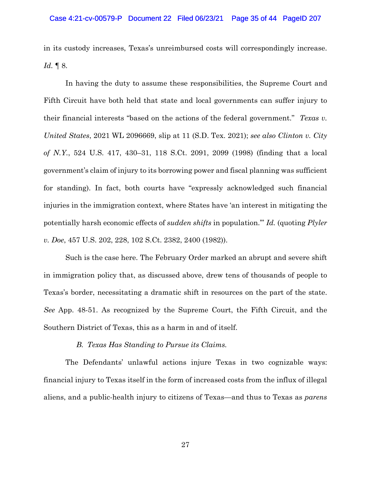in its custody increases, Texas's unreimbursed costs will correspondingly increase. *Id.* ¶ 8.

In having the duty to assume these responsibilities, the Supreme Court and Fifth Circuit have both held that state and local governments can suffer injury to their financial interests "based on the actions of the federal government." *Texas v. United States*, 2021 WL 2096669, slip at 11 (S.D. Tex. 2021); *see also Clinton v. City of N.Y.*, 524 U.S. 417, 430–31, 118 S.Ct. 2091, 2099 (1998) (finding that a local government's claim of injury to its borrowing power and fiscal planning was sufficient for standing). In fact, both courts have "expressly acknowledged such financial injuries in the immigration context, where States have 'an interest in mitigating the potentially harsh economic effects of *sudden shifts* in population.'" *Id.* (quoting *Plyler v. Doe*, 457 U.S. 202, 228, 102 S.Ct. 2382, 2400 (1982)).

Such is the case here. The February Order marked an abrupt and severe shift in immigration policy that, as discussed above, drew tens of thousands of people to Texas's border, necessitating a dramatic shift in resources on the part of the state. *See* App. 48-51. As recognized by the Supreme Court, the Fifth Circuit, and the Southern District of Texas, this as a harm in and of itself.

### *B. Texas Has Standing to Pursue its Claims.*

The Defendants' unlawful actions injure Texas in two cognizable ways: financial injury to Texas itself in the form of increased costs from the influx of illegal aliens, and a public-health injury to citizens of Texas—and thus to Texas as *parens*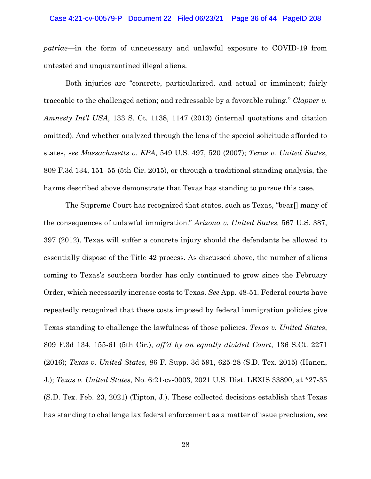#### Case 4:21-cv-00579-P Document 22 Filed 06/23/21 Page 36 of 44 PageID 208

*patriae—*in the form of unnecessary and unlawful exposure to COVID-19 from untested and unquarantined illegal aliens.

Both injuries are "concrete, particularized, and actual or imminent; fairly traceable to the challenged action; and redressable by a favorable ruling." *Clapper v. Amnesty Int'l USA*, 133 S. Ct. 1138, 1147 (2013) (internal quotations and citation omitted). And whether analyzed through the lens of the special solicitude afforded to states, s*ee Massachusetts v. EPA*, 549 U.S. 497, 520 (2007); *Texas v. United States*, 809 F.3d 134, 151–55 (5th Cir. 2015), or through a traditional standing analysis, the harms described above demonstrate that Texas has standing to pursue this case.

The Supreme Court has recognized that states, such as Texas, "bear[] many of the consequences of unlawful immigration." *Arizona v. United States,* 567 U.S. 387, 397 (2012). Texas will suffer a concrete injury should the defendants be allowed to essentially dispose of the Title 42 process. As discussed above, the number of aliens coming to Texas's southern border has only continued to grow since the February Order, which necessarily increase costs to Texas. *See* App. 48-51. Federal courts have repeatedly recognized that these costs imposed by federal immigration policies give Texas standing to challenge the lawfulness of those policies. *Texas v. United States*, 809 F.3d 134, 155-61 (5th Cir.), *aff'd by an equally divided Court*, 136 S.Ct. 2271 (2016); *Texas v. United States*, 86 F. Supp. 3d 591, 625-28 (S.D. Tex. 2015) (Hanen, J.); *Texas v. United States*, No. 6:21-cv-0003, 2021 U.S. Dist. LEXIS 33890, at \*27-35 (S.D. Tex. Feb. 23, 2021) (Tipton, J.). These collected decisions establish that Texas has standing to challenge lax federal enforcement as a matter of issue preclusion, *see*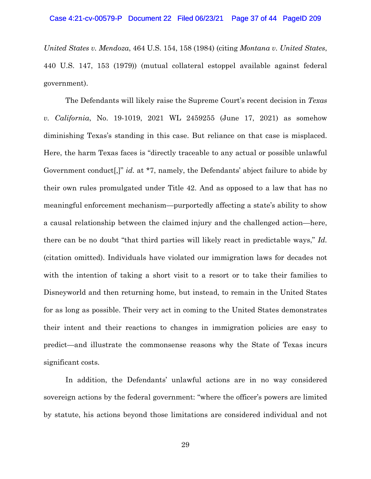*United States v. Mendoza*, 464 U.S. 154, 158 (1984) (citing *Montana v. United States*, 440 U.S. 147, 153 (1979)) (mutual collateral estoppel available against federal government).

The Defendants will likely raise the Supreme Court's recent decision in *Texas v. California*, No. 19-1019, 2021 WL 2459255 (June 17, 2021) as somehow diminishing Texas's standing in this case. But reliance on that case is misplaced. Here, the harm Texas faces is "directly traceable to any actual or possible unlawful Government conduct[,]" *id.* at \*7, namely, the Defendants' abject failure to abide by their own rules promulgated under Title 42. And as opposed to a law that has no meaningful enforcement mechanism—purportedly affecting a state's ability to show a causal relationship between the claimed injury and the challenged action—here, there can be no doubt "that third parties will likely react in predictable ways," *Id.*  (citation omitted). Individuals have violated our immigration laws for decades not with the intention of taking a short visit to a resort or to take their families to Disneyworld and then returning home, but instead, to remain in the United States for as long as possible. Their very act in coming to the United States demonstrates their intent and their reactions to changes in immigration policies are easy to predict—and illustrate the commonsense reasons why the State of Texas incurs significant costs.

In addition, the Defendants' unlawful actions are in no way considered sovereign actions by the federal government: "where the officer's powers are limited by statute, his actions beyond those limitations are considered individual and not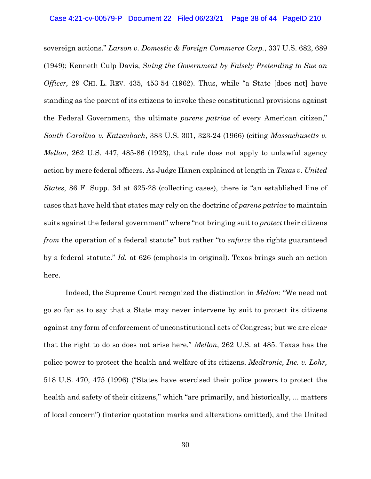sovereign actions." *Larson v. Domestic & Foreign Commerce Corp.*, 337 U.S. 682, 689 (1949); Kenneth Culp Davis, *Suing the Government by Falsely Pretending to Sue an Officer,* 29 CHI. L. REV. 435, 453-54 (1962). Thus, while "a State [does not] have standing as the parent of its citizens to invoke these constitutional provisions against the Federal Government, the ultimate *parens patriae* of every American citizen," *South Carolina v. Katzenbach*, 383 U.S. 301, 323-24 (1966) (citing *Massachusetts v. Mellon*, 262 U.S. 447, 485-86 (1923), that rule does not apply to unlawful agency action by mere federal officers. As Judge Hanen explained at length in *Texas v. United States*, 86 F. Supp. 3d at 625-28 (collecting cases), there is "an established line of cases that have held that states may rely on the doctrine of *parens patriae* to maintain suits against the federal government" where "not bringing suit to *protect* their citizens *from* the operation of a federal statute" but rather "to *enforce* the rights guaranteed by a federal statute." *Id.* at 626 (emphasis in original). Texas brings such an action here.

Indeed, the Supreme Court recognized the distinction in *Mellon*: "We need not go so far as to say that a State may never intervene by suit to protect its citizens against any form of enforcement of unconstitutional acts of Congress; but we are clear that the right to do so does not arise here." *Mellon*, 262 U.S. at 485. Texas has the police power to protect the health and welfare of its citizens, *Medtronic, Inc. v. Lohr,* 518 U.S. 470, 475 (1996) ("States have exercised their police powers to protect the health and safety of their citizens," which "are primarily, and historically, ... matters of local concern") (interior quotation marks and alterations omitted), and the United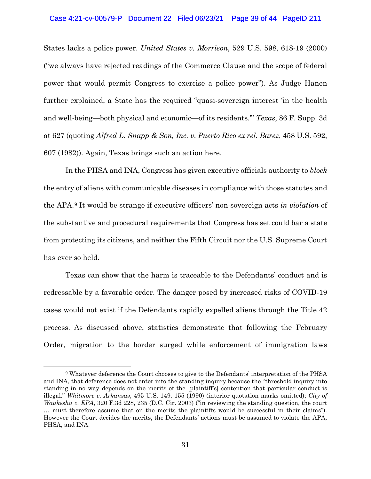### Case 4:21-cv-00579-P Document 22 Filed 06/23/21 Page 39 of 44 PageID 211

States lacks a police power. *United States v. Morrison*, 529 U.S. 598, 618-19 (2000) ("we always have rejected readings of the Commerce Clause and the scope of federal power that would permit Congress to exercise a police power"). As Judge Hanen further explained, a State has the required "quasi-sovereign interest 'in the health and well-being—both physical and economic—of its residents.'" *Texas*, 86 F. Supp. 3d at 627 (quoting *Alfred L. Snapp & Son, Inc. v. Puerto Rico ex rel. Barez*, 458 U.S. 592, 607 (1982)). Again, Texas brings such an action here.

In the PHSA and INA, Congress has given executive officials authority to *block* the entry of aliens with communicable diseases in compliance with those statutes and the APA.[9](#page-38-0) It would be strange if executive officers' non-sovereign acts *in violation* of the substantive and procedural requirements that Congress has set could bar a state from protecting its citizens, and neither the Fifth Circuit nor the U.S. Supreme Court has ever so held.

Texas can show that the harm is traceable to the Defendants' conduct and is redressable by a favorable order. The danger posed by increased risks of COVID-19 cases would not exist if the Defendants rapidly expelled aliens through the Title 42 process. As discussed above, statistics demonstrate that following the February Order, migration to the border surged while enforcement of immigration laws

<span id="page-38-0"></span><sup>9</sup> Whatever deference the Court chooses to give to the Defendants' interpretation of the PHSA and INA, that deference does not enter into the standing inquiry because the "threshold inquiry into standing in no way depends on the merits of the [plaintiff's] contention that particular conduct is illegal." *Whitmore v. Arkansas*, 495 U.S. 149, 155 (1990) (interior quotation marks omitted); *City of Waukesha v. EPA*, 320 F.3d 228, 235 (D.C. Cir. 2003) ("in reviewing the standing question, the court … must therefore assume that on the merits the plaintiffs would be successful in their claims"). However the Court decides the merits, the Defendants' actions must be assumed to violate the APA, PHSA, and INA.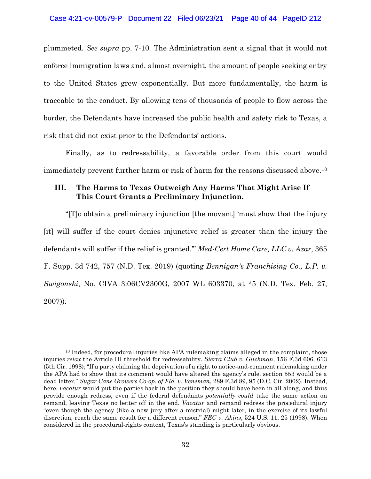plummeted. *See supra* pp. 7-10*.* The Administration sent a signal that it would not enforce immigration laws and, almost overnight, the amount of people seeking entry to the United States grew exponentially. But more fundamentally, the harm is traceable to the conduct. By allowing tens of thousands of people to flow across the border, the Defendants have increased the public health and safety risk to Texas, a risk that did not exist prior to the Defendants' actions.

Finally, as to redressability, a favorable order from this court would immediately prevent further harm or risk of harm for the reasons discussed above.[10](#page-39-1)

### <span id="page-39-0"></span>**III. The Harms to Texas Outweigh Any Harms That Might Arise If This Court Grants a Preliminary Injunction.**

"[T]o obtain a preliminary injunction [the movant] 'must show that the injury [it] will suffer if the court denies injunctive relief is greater than the injury the defendants will suffer if the relief is granted.'" *Med-Cert Home Care, LLC v. Azar*, 365 F. Supp. 3d 742, 757 (N.D. Tex. 2019) (quoting *Bennigan's Franchising Co., L.P. v. Swigonski*, No. CIVA 3:06CV2300G, 2007 WL 603370, at \*5 (N.D. Tex. Feb. 27, 2007)).

<span id="page-39-1"></span><sup>&</sup>lt;sup>10</sup> Indeed, for procedural injuries like APA rulemaking claims alleged in the complaint, those injuries *relax* the Article III threshold for redressability. *Sierra Club v. Glickman*, 156 F.3d 606, 613 (5th Cir. 1998); "If a party claiming the deprivation of a right to notice-and-comment rulemaking under the APA had to show that its comment would have altered the agency's rule, section 553 would be a dead letter." *Sugar Cane Growers Co-op. of Fla. v. Veneman*, 289 F.3d 89, 95 (D.C. Cir. 2002). Instead, here, *vacatur* would put the parties back in the position they should have been in all along, and thus provide enough redress, even if the federal defendants *potentially could* take the same action on remand, leaving Texas no better off in the end. *Vacatur* and remand redress the procedural injury "even though the agency (like a new jury after a mistrial) might later, in the exercise of its lawful discretion, reach the same result for a different reason." *FEC v. Akins*, 524 U.S. 11, 25 (1998). When considered in the procedural-rights context, Texas's standing is particularly obvious.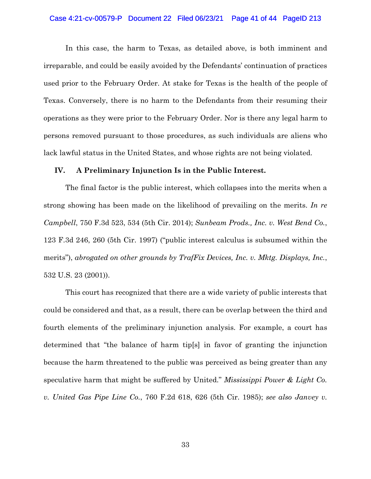### Case 4:21-cv-00579-P Document 22 Filed 06/23/21 Page 41 of 44 PageID 213

In this case, the harm to Texas, as detailed above, is both imminent and irreparable, and could be easily avoided by the Defendants' continuation of practices used prior to the February Order. At stake for Texas is the health of the people of Texas. Conversely, there is no harm to the Defendants from their resuming their operations as they were prior to the February Order. Nor is there any legal harm to persons removed pursuant to those procedures, as such individuals are aliens who lack lawful status in the United States, and whose rights are not being violated.

### <span id="page-40-0"></span>**IV. A Preliminary Injunction Is in the Public Interest.**

The final factor is the public interest, which collapses into the merits when a strong showing has been made on the likelihood of prevailing on the merits. *In re Campbell*, 750 F.3d 523, 534 (5th Cir. 2014); *Sunbeam Prods., Inc. v. West Bend Co.*, 123 F.3d 246, 260 (5th Cir. 1997) ("public interest calculus is subsumed within the merits"), *abrogated on other grounds by TrafFix Devices, Inc. v. Mktg. Displays, Inc.*, 532 U.S. 23 (2001)).

This court has recognized that there are a wide variety of public interests that could be considered and that, as a result, there can be overlap between the third and fourth elements of the preliminary injunction analysis. For example, a court has determined that "the balance of harm tip[s] in favor of granting the injunction because the harm threatened to the public was perceived as being greater than any speculative harm that might be suffered by United." *Mississippi Power & Light Co. v. United Gas Pipe Line Co.*, 760 F.2d 618, 626 (5th Cir. 1985); *see also Janvey v.*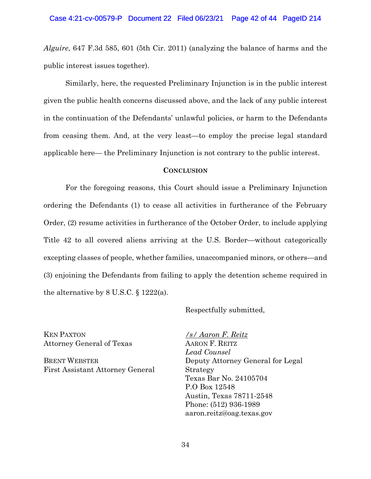*Alguire*, 647 F.3d 585, 601 (5th Cir. 2011) (analyzing the balance of harms and the public interest issues together).

Similarly, here, the requested Preliminary Injunction is in the public interest given the public health concerns discussed above, and the lack of any public interest in the continuation of the Defendants' unlawful policies, or harm to the Defendants from ceasing them. And, at the very least—to employ the precise legal standard applicable here— the Preliminary Injunction is not contrary to the public interest.

### **CONCLUSION**

<span id="page-41-0"></span>For the foregoing reasons, this Court should issue a Preliminary Injunction ordering the Defendants (1) to cease all activities in furtherance of the February Order, (2) resume activities in furtherance of the October Order, to include applying Title 42 to all covered aliens arriving at the U.S. Border—without categorically excepting classes of people, whether families, unaccompanied minors, or others—and (3) enjoining the Defendants from failing to apply the detention scheme required in the alternative by 8 U.S.C. § 1222(a).

Respectfully submitted,

KEN PAXTON Attorney General of Texas

BRENT WEBSTER First Assistant Attorney General */s/ Aaron F. Reitz* AARON F. REITZ *Lead Counsel* Deputy Attorney General for Legal Strategy Texas Bar No. 24105704 P.O Box 12548 Austin, Texas 78711-2548 Phone: (512) 936-1989 aaron.reitz@oag.texas.gov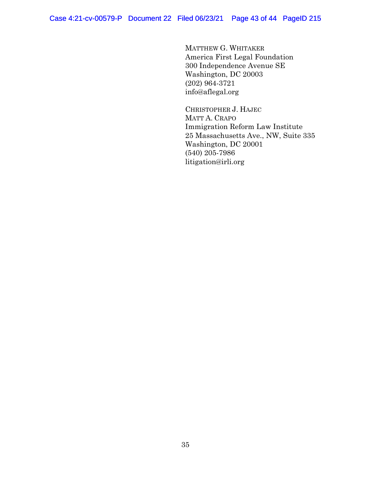MATTHEW G. WHITAKER America First Legal Foundation 300 Independence Avenue SE Washington, DC 20003 (202) 964-3721 info@aflegal.org

CHRISTOPHER J. HAJEC MATT A. CRAPO Immigration Reform Law Institute 25 Massachusetts Ave., NW, Suite 335 Washington, DC 20001 (540) 205-7986 litigation@irli.org